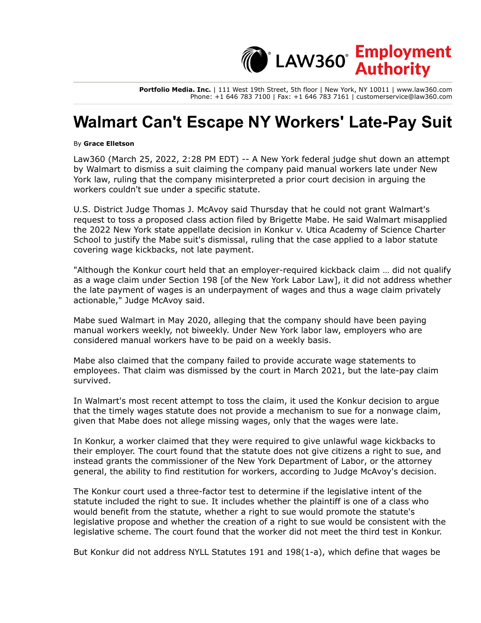

**Portfolio Media. Inc.** | 111 West 19th Street, 5th floor | New York, NY 10011 | www.law360.com Phone: +1 646 783 7100 | Fax: +1 646 783 7161 | customerservice@law360.com

## **Walmart Can't Escape NY Workers' Late-Pay Suit**

## By **Grace Elletson**

Law360 (March 25, 2022, 2:28 PM EDT) -- A New York federal judge shut down an attempt by Walmart to dismiss a suit claiming the company paid manual workers late under New York law, ruling that the company misinterpreted a prior court decision in arguing the workers couldn't sue under a specific statute.

U.S. District Judge Thomas J. McAvoy said Thursday that he could not grant Walmart's request to toss a proposed class action filed by Brigette Mabe. He said Walmart misapplied the 2022 New York state appellate decision in Konkur v. Utica Academy of Science Charter School to justify the Mabe suit's dismissal, ruling that the case applied to a labor statute covering wage kickbacks, not late payment.

"Although the Konkur court held that an employer-required kickback claim … did not qualify as a wage claim under Section 198 [of the New York Labor Law], it did not address whether the late payment of wages is an underpayment of wages and thus a wage claim privately actionable," Judge McAvoy said.

Mabe sued Walmart in May 2020, alleging that the company should have been paying manual workers weekly, not biweekly. Under New York labor law, employers who are considered manual workers have to be paid on a weekly basis.

Mabe also claimed that the company failed to provide accurate wage statements to employees. That claim was dismissed by the court in March 2021, but the late-pay claim survived.

In Walmart's most recent attempt to toss the claim, it used the Konkur decision to argue that the timely wages statute does not provide a mechanism to sue for a nonwage claim, given that Mabe does not allege missing wages, only that the wages were late.

In Konkur, a worker claimed that they were required to give unlawful wage kickbacks to their employer. The court found that the statute does not give citizens a right to sue, and instead grants the commissioner of the New York Department of Labor, or the attorney general, the ability to find restitution for workers, according to Judge McAvoy's decision.

The Konkur court used a three-factor test to determine if the legislative intent of the statute included the right to sue. It includes whether the plaintiff is one of a class who would benefit from the statute, whether a right to sue would promote the statute's legislative propose and whether the creation of a right to sue would be consistent with the legislative scheme. The court found that the worker did not meet the third test in Konkur.

But Konkur did not address NYLL Statutes 191 and 198(1-a), which define that wages be